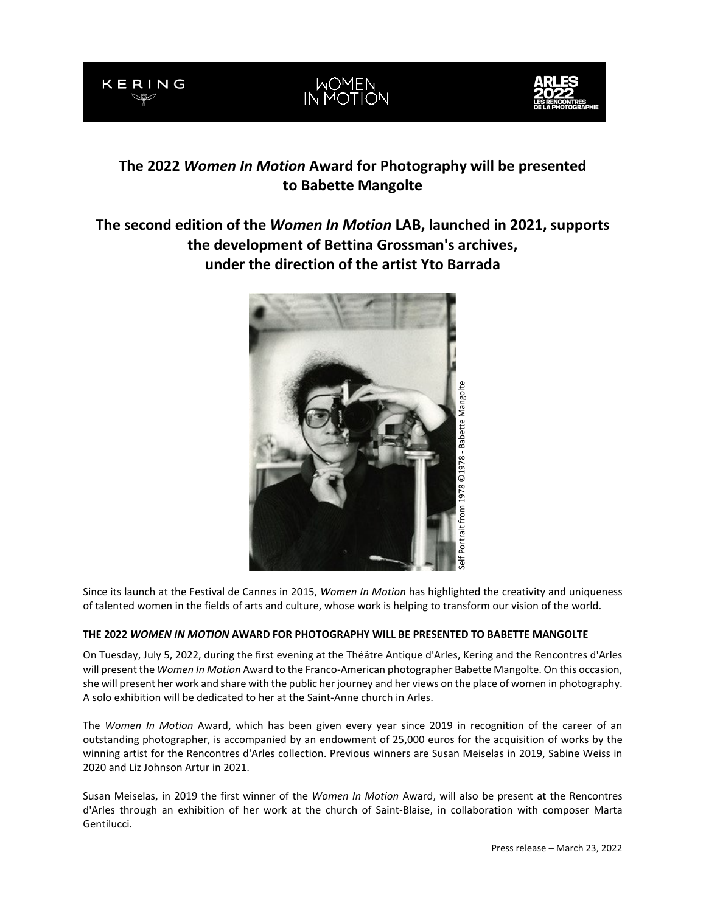





# **The 2022** *Women In Motion* **Award for Photography will be presented to Babette Mangolte**

## **The second edition of the** *Women In Motion* **LAB, launched in 2021, supports the development of Bettina Grossman's archives, under the direction of the artist Yto Barrada**



Since its launch at the Festival de Cannes in 2015, *Women In Motion* has highlighted the creativity and uniqueness of talented women in the fields of arts and culture, whose work is helping to transform our vision of the world.

## **THE 2022** *WOMEN IN MOTION* **AWARD FOR PHOTOGRAPHY WILL BE PRESENTED TO BABETTE MANGOLTE**

On Tuesday, July 5, 2022, during the first evening at the Théâtre Antique d'Arles, Kering and the Rencontres d'Arles will present the *Women In Motion* Award to the Franco-American photographer Babette Mangolte. On this occasion, she will present her work and share with the public her journey and her views on the place of women in photography. A solo exhibition will be dedicated to her at the Saint-Anne church in Arles.

The *Women In Motion* Award, which has been given every year since 2019 in recognition of the career of an outstanding photographer, is accompanied by an endowment of 25,000 euros for the acquisition of works by the winning artist for the Rencontres d'Arles collection. Previous winners are Susan Meiselas in 2019, Sabine Weiss in 2020 and Liz Johnson Artur in 2021.

Susan Meiselas, in 2019 the first winner of the *Women In Motion* Award, will also be present at the Rencontres d'Arles through an exhibition of her work at the church of Saint-Blaise, in collaboration with composer Marta Gentilucci.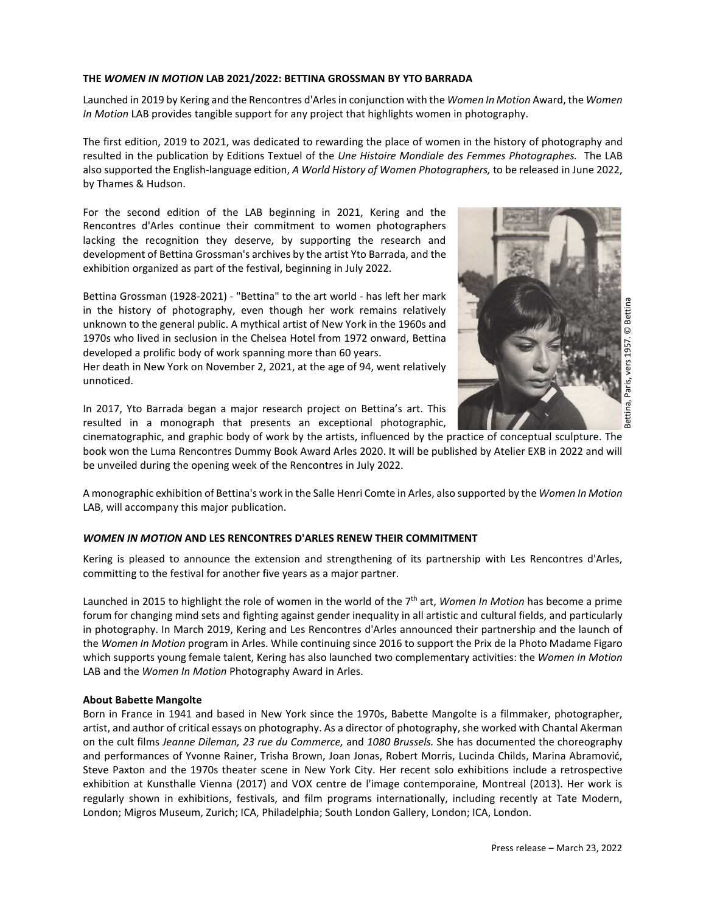#### **THE** *WOMEN IN MOTION* **LAB 2021/2022: BETTINA GROSSMAN BY YTO BARRADA**

Launched in 2019 by Kering and the Rencontres d'Arles in conjunction with the *Women In Motion* Award, the *Women In Motion* LAB provides tangible support for any project that highlights women in photography.

The first edition, 2019 to 2021, was dedicated to rewarding the place of women in the history of photography and resulted in the publication by Editions Textuel of the *Une Histoire Mondiale des Femmes Photographes.* The LAB also supported the English-language edition, *A World History of Women Photographers,* to be released in June 2022, by Thames & Hudson.

For the second edition of the LAB beginning in 2021, Kering and the Rencontres d'Arles continue their commitment to women photographers lacking the recognition they deserve, by supporting the research and development of Bettina Grossman's archives by the artist Yto Barrada, and the exhibition organized as part of the festival, beginning in July 2022.

Bettina Grossman (1928-2021) - "Bettina" to the art world - has left her mark in the history of photography, even though her work remains relatively unknown to the general public. A mythical artist of New York in the 1960s and 1970s who lived in seclusion in the Chelsea Hotel from 1972 onward, Bettina developed a prolific body of work spanning more than 60 years.

Her death in New York on November 2, 2021, at the age of 94, went relatively unnoticed.



In 2017, Yto Barrada began a major research project on Bettina's art. This resulted in a monograph that presents an exceptional photographic,

cinematographic, and graphic body of work by the artists, influenced by the practice of conceptual sculpture. The book won the Luma Rencontres Dummy Book Award Arles 2020. It will be published by Atelier EXB in 2022 and will be unveiled during the opening week of the Rencontres in July 2022.

A monographic exhibition of Bettina's work in the Salle Henri Comte in Arles, also supported by the *Women In Motion* LAB, will accompany this major publication.

## *WOMEN IN MOTION* **AND LES RENCONTRES D'ARLES RENEW THEIR COMMITMENT**

Kering is pleased to announce the extension and strengthening of its partnership with Les Rencontres d'Arles, committing to the festival for another five years as a major partner.

Launched in 2015 to highlight the role of women in the world of the 7th art, *Women In Motion* has become a prime forum for changing mind sets and fighting against gender inequality in all artistic and cultural fields, and particularly in photography. In March 2019, Kering and Les Rencontres d'Arles announced their partnership and the launch of the *Women In Motion* program in Arles. While continuing since 2016 to support the Prix de la Photo Madame Figaro which supports young female talent, Kering has also launched two complementary activities: the *Women In Motion* LAB and the *Women In Motion* Photography Award in Arles.

#### **About Babette Mangolte**

Born in France in 1941 and based in New York since the 1970s, Babette Mangolte is a filmmaker, photographer, artist, and author of critical essays on photography. As a director of photography, she worked with Chantal Akerman on the cult films *Jeanne Dileman, 23 rue du Commerce,* and *1080 Brussels.* She has documented the choreography and performances of Yvonne Rainer, Trisha Brown, Joan Jonas, Robert Morris, Lucinda Childs, Marina Abramović, Steve Paxton and the 1970s theater scene in New York City. Her recent solo exhibitions include a retrospective exhibition at Kunsthalle Vienna (2017) and VOX centre de l'image contemporaine, Montreal (2013). Her work is regularly shown in exhibitions, festivals, and film programs internationally, including recently at Tate Modern, London; Migros Museum, Zurich; ICA, Philadelphia; South London Gallery, London; ICA, London.